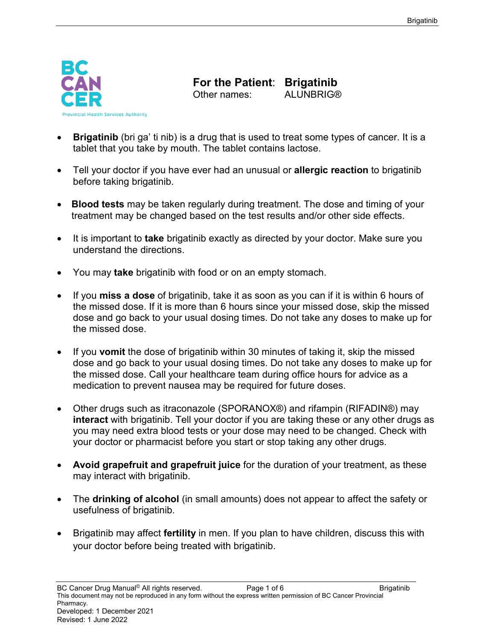

**For the Patient: Brigatinib**<br>Other names: ALUNBRIG® Other names:

- **Brigatinib** (bri ga' ti nib) is a drug that is used to treat some types of cancer. It is a tablet that you take by mouth. The tablet contains lactose.
- Tell your doctor if you have ever had an unusual or **allergic reaction** to brigatinib before taking brigatinib.
- **Blood tests** may be taken regularly during treatment. The dose and timing of your treatment may be changed based on the test results and/or other side effects.
- It is important to **take** brigatinib exactly as directed by your doctor. Make sure you understand the directions.
- You may **take** brigatinib with food or on an empty stomach.
- If you **miss a dose** of brigatinib, take it as soon as you can if it is within 6 hours of the missed dose. If it is more than 6 hours since your missed dose, skip the missed dose and go back to your usual dosing times. Do not take any doses to make up for the missed dose.
- If you **vomit** the dose of brigatinib within 30 minutes of taking it, skip the missed dose and go back to your usual dosing times. Do not take any doses to make up for the missed dose. Call your healthcare team during office hours for advice as a medication to prevent nausea may be required for future doses.
- Other drugs such as itraconazole (SPORANOX®) and rifampin (RIFADIN®) may **interact** with brigatinib. Tell your doctor if you are taking these or any other drugs as you may need extra blood tests or your dose may need to be changed. Check with your doctor or pharmacist before you start or stop taking any other drugs.
- **Avoid grapefruit and grapefruit juice** for the duration of your treatment, as these may interact with brigatinib.
- The **drinking of alcohol** (in small amounts) does not appear to affect the safety or usefulness of brigatinib.
- Brigatinib may affect **fertility** in men. If you plan to have children, discuss this with your doctor before being treated with brigatinib.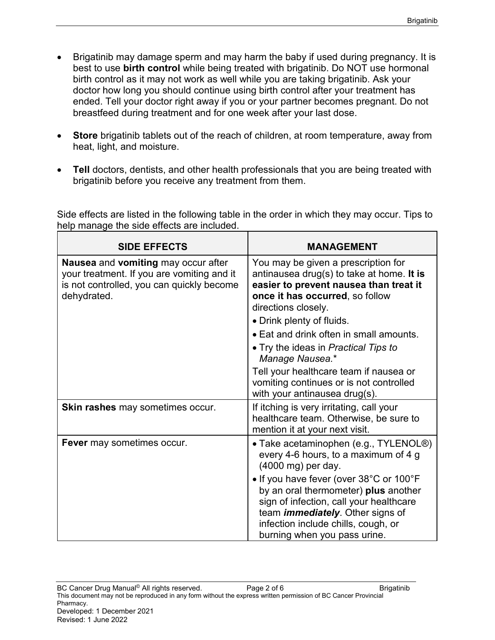- Brigatinib may damage sperm and may harm the baby if used during pregnancy. It is best to use **birth control** while being treated with brigatinib. Do NOT use hormonal birth control as it may not work as well while you are taking brigatinib. Ask your doctor how long you should continue using birth control after your treatment has ended. Tell your doctor right away if you or your partner becomes pregnant. Do not breastfeed during treatment and for one week after your last dose.
- **Store** brigatinib tablets out of the reach of children, at room temperature, away from heat, light, and moisture.
- **Tell** doctors, dentists, and other health professionals that you are being treated with brigatinib before you receive any treatment from them.

Side effects are listed in the following table in the order in which they may occur. Tips to help manage the side effects are included.

| <b>SIDE EFFECTS</b>                                                                                                                           | <b>MANAGEMENT</b>                                                                                                                                                                                                                                                                                                       |
|-----------------------------------------------------------------------------------------------------------------------------------------------|-------------------------------------------------------------------------------------------------------------------------------------------------------------------------------------------------------------------------------------------------------------------------------------------------------------------------|
| Nausea and vomiting may occur after<br>your treatment. If you are vomiting and it<br>is not controlled, you can quickly become<br>dehydrated. | You may be given a prescription for<br>antinausea drug(s) to take at home. It is<br>easier to prevent nausea than treat it<br>once it has occurred, so follow<br>directions closely.<br>• Drink plenty of fluids.<br>• Eat and drink often in small amounts.<br>• Try the ideas in Practical Tips to<br>Manage Nausea.* |
|                                                                                                                                               | Tell your healthcare team if nausea or<br>vomiting continues or is not controlled<br>with your antinausea drug(s).                                                                                                                                                                                                      |
| Skin rashes may sometimes occur.                                                                                                              | If itching is very irritating, call your<br>healthcare team. Otherwise, be sure to<br>mention it at your next visit.                                                                                                                                                                                                    |
| Fever may sometimes occur.                                                                                                                    | • Take acetaminophen (e.g., TYLENOL®)<br>every 4-6 hours, to a maximum of 4 g<br>(4000 mg) per day.                                                                                                                                                                                                                     |
|                                                                                                                                               | • If you have fever (over 38°C or 100°F<br>by an oral thermometer) plus another<br>sign of infection, call your healthcare<br>team <i>immediately</i> . Other signs of<br>infection include chills, cough, or<br>burning when you pass urine.                                                                           |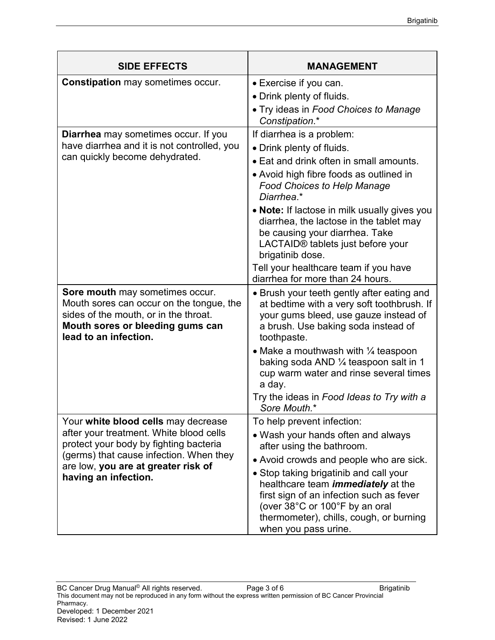| <b>SIDE EFFECTS</b>                                                                                                                                                                                                                | <b>MANAGEMENT</b>                                                                                                                                                                                                                                                                                                                                                                                                                                                   |
|------------------------------------------------------------------------------------------------------------------------------------------------------------------------------------------------------------------------------------|---------------------------------------------------------------------------------------------------------------------------------------------------------------------------------------------------------------------------------------------------------------------------------------------------------------------------------------------------------------------------------------------------------------------------------------------------------------------|
| <b>Constipation may sometimes occur.</b>                                                                                                                                                                                           | • Exercise if you can.<br>• Drink plenty of fluids.<br>• Try ideas in Food Choices to Manage<br>Constipation.*                                                                                                                                                                                                                                                                                                                                                      |
| Diarrhea may sometimes occur. If you<br>have diarrhea and it is not controlled, you<br>can quickly become dehydrated.                                                                                                              | If diarrhea is a problem:<br>• Drink plenty of fluids.<br>• Eat and drink often in small amounts.<br>• Avoid high fibre foods as outlined in<br><b>Food Choices to Help Manage</b><br>Diarrhea.*<br>• Note: If lactose in milk usually gives you<br>diarrhea, the lactose in the tablet may<br>be causing your diarrhea. Take<br>LACTAID® tablets just before your<br>brigatinib dose.<br>Tell your healthcare team if you have<br>diarrhea for more than 24 hours. |
| Sore mouth may sometimes occur.<br>Mouth sores can occur on the tongue, the<br>sides of the mouth, or in the throat.<br>Mouth sores or bleeding gums can<br>lead to an infection.                                                  | • Brush your teeth gently after eating and<br>at bedtime with a very soft toothbrush. If<br>your gums bleed, use gauze instead of<br>a brush. Use baking soda instead of<br>toothpaste.<br>• Make a mouthwash with $\frac{1}{4}$ teaspoon<br>baking soda AND $\frac{1}{4}$ teaspoon salt in 1<br>cup warm water and rinse several times<br>a day.<br>Try the ideas in Food Ideas to Try with a<br>Sore Mouth.*                                                      |
| Your white blood cells may decrease<br>after your treatment. White blood cells<br>protect your body by fighting bacteria<br>(germs) that cause infection. When they<br>are low, you are at greater risk of<br>having an infection. | To help prevent infection:<br>• Wash your hands often and always<br>after using the bathroom.<br>• Avoid crowds and people who are sick.<br>• Stop taking brigatinib and call your<br>healthcare team <i>immediately</i> at the<br>first sign of an infection such as fever<br>(over 38°C or 100°F by an oral<br>thermometer), chills, cough, or burning<br>when you pass urine.                                                                                    |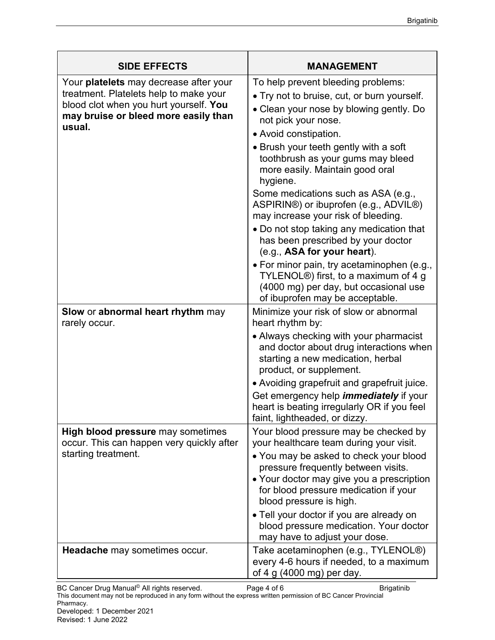| <b>SIDE EFFECTS</b>                                                                                                                                                                 | <b>MANAGEMENT</b>                                                                                                                                                                                                                                                                                                                                                                                                                                                                                                  |
|-------------------------------------------------------------------------------------------------------------------------------------------------------------------------------------|--------------------------------------------------------------------------------------------------------------------------------------------------------------------------------------------------------------------------------------------------------------------------------------------------------------------------------------------------------------------------------------------------------------------------------------------------------------------------------------------------------------------|
| Your <b>platelets</b> may decrease after your<br>treatment. Platelets help to make your<br>blood clot when you hurt yourself. You<br>may bruise or bleed more easily than<br>usual. | To help prevent bleeding problems:<br>• Try not to bruise, cut, or burn yourself.<br>• Clean your nose by blowing gently. Do<br>not pick your nose.<br>• Avoid constipation.<br>• Brush your teeth gently with a soft<br>toothbrush as your gums may bleed<br>more easily. Maintain good oral<br>hygiene.<br>Some medications such as ASA (e.g.,<br>ASPIRIN®) or ibuprofen (e.g., ADVIL®)<br>may increase your risk of bleeding.<br>• Do not stop taking any medication that<br>has been prescribed by your doctor |
|                                                                                                                                                                                     | (e.g., ASA for your heart).<br>• For minor pain, try acetaminophen (e.g.,<br>TYLENOL®) first, to a maximum of 4 g<br>(4000 mg) per day, but occasional use<br>of ibuprofen may be acceptable.                                                                                                                                                                                                                                                                                                                      |
| Slow or abnormal heart rhythm may<br>rarely occur.                                                                                                                                  | Minimize your risk of slow or abnormal<br>heart rhythm by:<br>• Always checking with your pharmacist<br>and doctor about drug interactions when<br>starting a new medication, herbal<br>product, or supplement.                                                                                                                                                                                                                                                                                                    |
|                                                                                                                                                                                     | • Avoiding grapefruit and grapefruit juice.<br>Get emergency help <i>immediately</i> if your<br>heart is beating irregularly OR if you feel<br>faint, lightheaded, or dizzy.                                                                                                                                                                                                                                                                                                                                       |
| <b>High blood pressure</b> may sometimes<br>occur. This can happen very quickly after<br>starting treatment.                                                                        | Your blood pressure may be checked by<br>your healthcare team during your visit.<br>• You may be asked to check your blood<br>pressure frequently between visits.<br>• Your doctor may give you a prescription<br>for blood pressure medication if your<br>blood pressure is high.<br>• Tell your doctor if you are already on                                                                                                                                                                                     |
| Headache may sometimes occur.                                                                                                                                                       | blood pressure medication. Your doctor<br>may have to adjust your dose.<br>Take acetaminophen (e.g., TYLENOL <sup>®</sup> )<br>every 4-6 hours if needed, to a maximum<br>of 4 g (4000 mg) per day.                                                                                                                                                                                                                                                                                                                |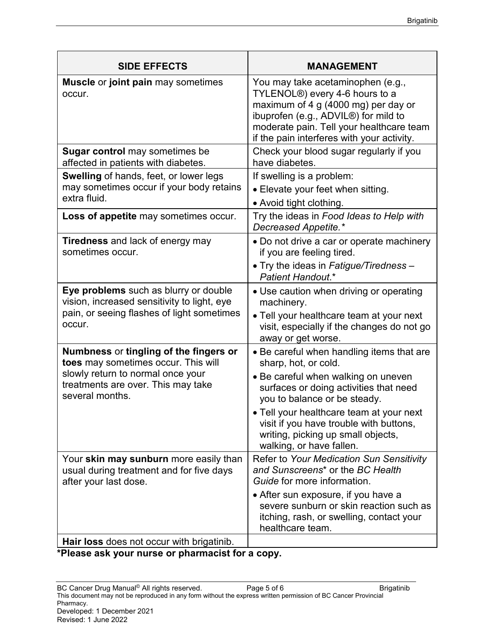| <b>SIDE EFFECTS</b>                                                                                                                                                         | <b>MANAGEMENT</b>                                                                                                                                                                                                                                                                                                                           |
|-----------------------------------------------------------------------------------------------------------------------------------------------------------------------------|---------------------------------------------------------------------------------------------------------------------------------------------------------------------------------------------------------------------------------------------------------------------------------------------------------------------------------------------|
| <b>Muscle or joint pain may sometimes</b><br>occur.                                                                                                                         | You may take acetaminophen (e.g.,<br>TYLENOL <sup>®</sup> ) every 4-6 hours to a<br>maximum of 4 g (4000 mg) per day or<br>ibuprofen (e.g., ADVIL <sup>®</sup> ) for mild to<br>moderate pain. Tell your healthcare team<br>if the pain interferes with your activity.                                                                      |
| <b>Sugar control</b> may sometimes be<br>affected in patients with diabetes.                                                                                                | Check your blood sugar regularly if you<br>have diabetes.                                                                                                                                                                                                                                                                                   |
| Swelling of hands, feet, or lower legs<br>may sometimes occur if your body retains<br>extra fluid.                                                                          | If swelling is a problem:<br>• Elevate your feet when sitting.<br>• Avoid tight clothing.                                                                                                                                                                                                                                                   |
| Loss of appetite may sometimes occur.                                                                                                                                       | Try the ideas in Food Ideas to Help with<br>Decreased Appetite.*                                                                                                                                                                                                                                                                            |
| <b>Tiredness</b> and lack of energy may<br>sometimes occur.                                                                                                                 | • Do not drive a car or operate machinery<br>if you are feeling tired.<br>• Try the ideas in Fatigue/Tiredness -<br>Patient Handout.*                                                                                                                                                                                                       |
| Eye problems such as blurry or double<br>vision, increased sensitivity to light, eye<br>pain, or seeing flashes of light sometimes<br>occur.                                | • Use caution when driving or operating<br>machinery.<br>• Tell your healthcare team at your next<br>visit, especially if the changes do not go<br>away or get worse.                                                                                                                                                                       |
| Numbness or tingling of the fingers or<br>toes may sometimes occur. This will<br>slowly return to normal once your<br>treatments are over. This may take<br>several months. | • Be careful when handling items that are<br>sharp, hot, or cold.<br>• Be careful when walking on uneven<br>surfaces or doing activities that need<br>you to balance or be steady.<br>. Tell your healthcare team at your next<br>visit if you have trouble with buttons,<br>writing, picking up small objects,<br>walking, or have fallen. |
| Your skin may sunburn more easily than<br>usual during treatment and for five days<br>after your last dose.                                                                 | Refer to Your Medication Sun Sensitivity<br>and Sunscreens <sup>*</sup> or the BC Health<br>Guide for more information.<br>• After sun exposure, if you have a<br>severe sunburn or skin reaction such as<br>itching, rash, or swelling, contact your<br>healthcare team.                                                                   |
| Hair loss does not occur with brigatinib.                                                                                                                                   |                                                                                                                                                                                                                                                                                                                                             |

**\*Please ask your nurse or pharmacist for a copy.**